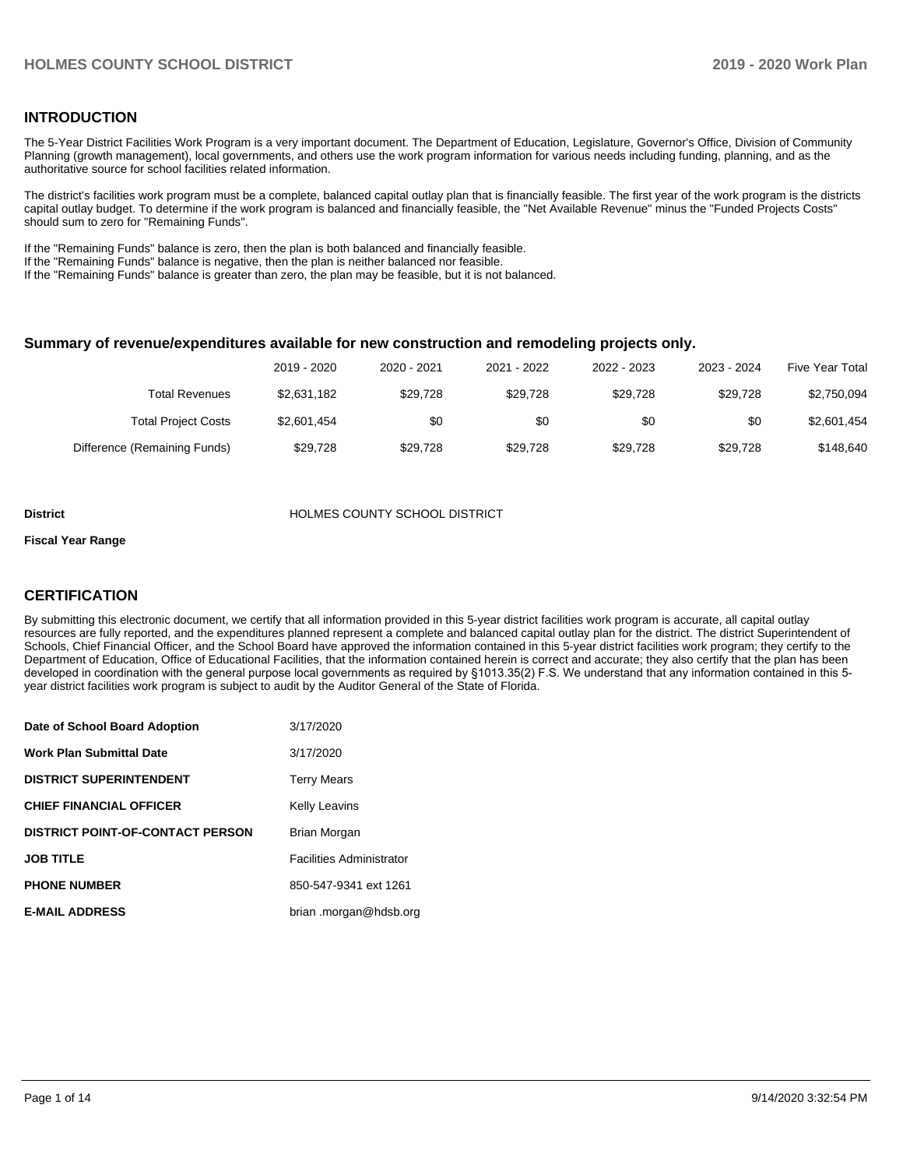### **INTRODUCTION**

The 5-Year District Facilities Work Program is a very important document. The Department of Education, Legislature, Governor's Office, Division of Community Planning (growth management), local governments, and others use the work program information for various needs including funding, planning, and as the authoritative source for school facilities related information.

The district's facilities work program must be a complete, balanced capital outlay plan that is financially feasible. The first year of the work program is the districts capital outlay budget. To determine if the work program is balanced and financially feasible, the "Net Available Revenue" minus the "Funded Projects Costs" should sum to zero for "Remaining Funds".

If the "Remaining Funds" balance is zero, then the plan is both balanced and financially feasible.

If the "Remaining Funds" balance is negative, then the plan is neither balanced nor feasible.

If the "Remaining Funds" balance is greater than zero, the plan may be feasible, but it is not balanced.

#### **Summary of revenue/expenditures available for new construction and remodeling projects only.**

| Five Year Total | 2023 - 2024 | 2022 - 2023 | 2021 - 2022 | 2020 - 2021 | 2019 - 2020 |                              |
|-----------------|-------------|-------------|-------------|-------------|-------------|------------------------------|
| \$2,750,094     | \$29.728    | \$29.728    | \$29.728    | \$29.728    | \$2,631,182 | Total Revenues               |
| \$2,601,454     | \$0         | \$0         | \$0         | \$0         | \$2,601,454 | <b>Total Project Costs</b>   |
| \$148,640       | \$29.728    | \$29.728    | \$29.728    | \$29.728    | \$29.728    | Difference (Remaining Funds) |

#### **District COUNTY SCHOOL DISTRICT**

#### **Fiscal Year Range**

### **CERTIFICATION**

By submitting this electronic document, we certify that all information provided in this 5-year district facilities work program is accurate, all capital outlay resources are fully reported, and the expenditures planned represent a complete and balanced capital outlay plan for the district. The district Superintendent of Schools, Chief Financial Officer, and the School Board have approved the information contained in this 5-year district facilities work program; they certify to the Department of Education, Office of Educational Facilities, that the information contained herein is correct and accurate; they also certify that the plan has been developed in coordination with the general purpose local governments as required by §1013.35(2) F.S. We understand that any information contained in this 5 year district facilities work program is subject to audit by the Auditor General of the State of Florida.

| Date of School Board Adoption           | 3/17/2020                       |
|-----------------------------------------|---------------------------------|
| <b>Work Plan Submittal Date</b>         | 3/17/2020                       |
| <b>DISTRICT SUPERINTENDENT</b>          | <b>Terry Mears</b>              |
| <b>CHIEF FINANCIAL OFFICER</b>          | <b>Kelly Leavins</b>            |
| <b>DISTRICT POINT-OF-CONTACT PERSON</b> | Brian Morgan                    |
| <b>JOB TITLE</b>                        | <b>Facilities Administrator</b> |
| <b>PHONE NUMBER</b>                     | 850-547-9341 ext 1261           |
| <b>E-MAIL ADDRESS</b>                   | brian .morgan@hdsb.org          |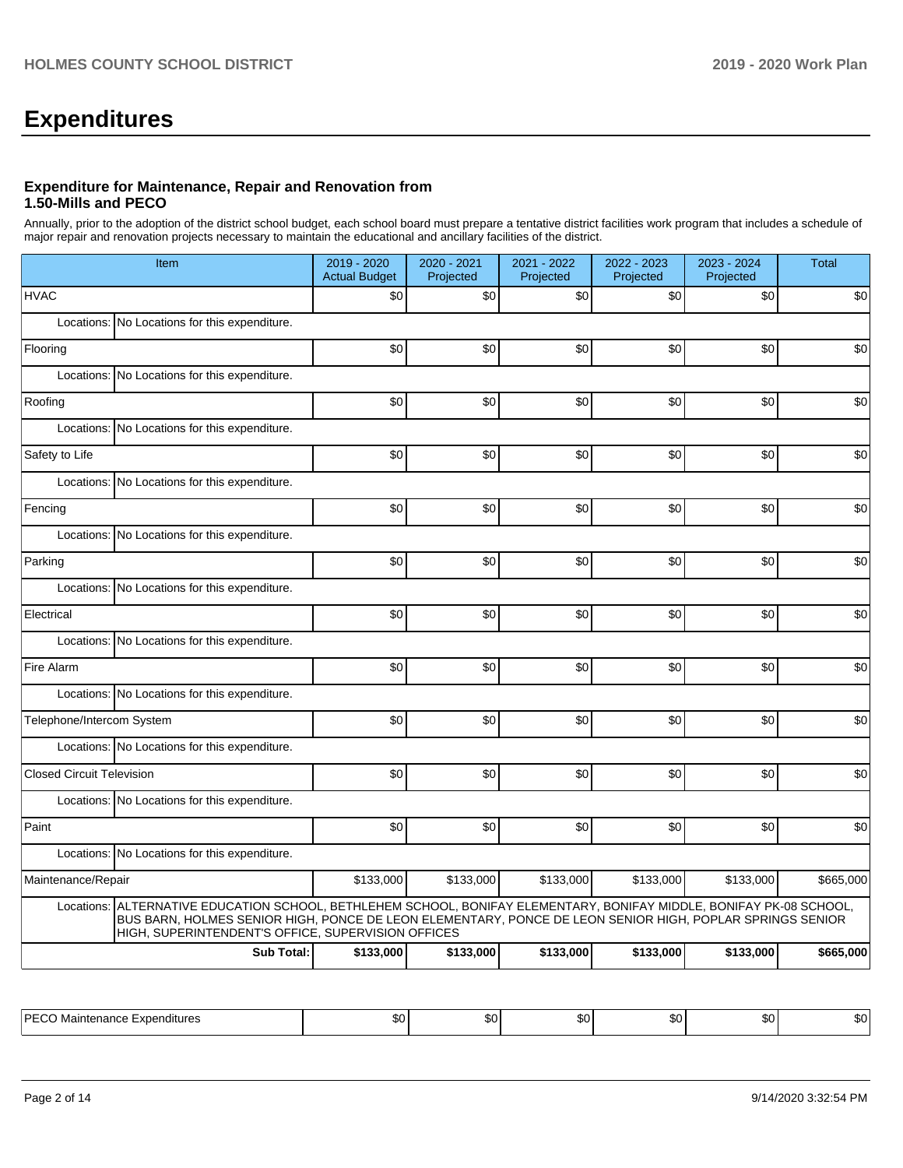# **Expenditures**

### **Expenditure for Maintenance, Repair and Renovation from 1.50-Mills and PECO**

Annually, prior to the adoption of the district school budget, each school board must prepare a tentative district facilities work program that includes a schedule of major repair and renovation projects necessary to maintain the educational and ancillary facilities of the district.

| Item                                                                                                                                                                                                                                                                                   | 2019 - 2020<br><b>Actual Budget</b> | 2020 - 2021<br>Projected | 2021 - 2022<br>Projected | 2022 - 2023<br>Projected | 2023 - 2024<br>Projected | <b>Total</b> |
|----------------------------------------------------------------------------------------------------------------------------------------------------------------------------------------------------------------------------------------------------------------------------------------|-------------------------------------|--------------------------|--------------------------|--------------------------|--------------------------|--------------|
| <b>HVAC</b>                                                                                                                                                                                                                                                                            | \$0                                 | \$0                      | \$0                      | \$0                      | \$0                      | \$0          |
| Locations: No Locations for this expenditure.                                                                                                                                                                                                                                          |                                     |                          |                          |                          |                          |              |
| Flooring                                                                                                                                                                                                                                                                               | \$0                                 | \$0                      | \$0                      | \$0                      | \$0                      | \$0          |
| Locations: No Locations for this expenditure.                                                                                                                                                                                                                                          |                                     |                          |                          |                          |                          |              |
| Roofing                                                                                                                                                                                                                                                                                | \$0                                 | \$0                      | \$0                      | \$0                      | \$0                      | \$0          |
| Locations: No Locations for this expenditure.                                                                                                                                                                                                                                          |                                     |                          |                          |                          |                          |              |
| Safety to Life                                                                                                                                                                                                                                                                         | \$0                                 | \$0                      | \$0                      | \$0                      | \$0                      | \$0          |
| Locations: No Locations for this expenditure.                                                                                                                                                                                                                                          |                                     |                          |                          |                          |                          |              |
| Fencing                                                                                                                                                                                                                                                                                | \$0                                 | \$0                      | \$0                      | \$0                      | \$0                      | \$0          |
| Locations: No Locations for this expenditure.                                                                                                                                                                                                                                          |                                     |                          |                          |                          |                          |              |
| Parking                                                                                                                                                                                                                                                                                | \$0                                 | \$0                      | \$0                      | \$0                      | \$0                      | \$0          |
| Locations: No Locations for this expenditure.                                                                                                                                                                                                                                          |                                     |                          |                          |                          |                          |              |
| Electrical                                                                                                                                                                                                                                                                             | \$0                                 | \$0                      | \$0                      | \$0                      | \$0                      | \$0          |
| Locations: No Locations for this expenditure.                                                                                                                                                                                                                                          |                                     |                          |                          |                          |                          |              |
| Fire Alarm                                                                                                                                                                                                                                                                             | \$0                                 | \$0                      | \$0                      | \$0                      | \$0                      | \$0          |
| Locations: No Locations for this expenditure.                                                                                                                                                                                                                                          |                                     |                          |                          |                          |                          |              |
| Telephone/Intercom System                                                                                                                                                                                                                                                              | \$0                                 | \$0                      | \$0                      | \$0                      | \$0                      | \$0          |
| Locations: No Locations for this expenditure.                                                                                                                                                                                                                                          |                                     |                          |                          |                          |                          |              |
| <b>Closed Circuit Television</b>                                                                                                                                                                                                                                                       | \$0                                 | \$0                      | \$0                      | \$0                      | \$0                      | \$0          |
| Locations: No Locations for this expenditure.                                                                                                                                                                                                                                          |                                     |                          |                          |                          |                          |              |
| Paint                                                                                                                                                                                                                                                                                  | \$0                                 | \$0                      | \$0                      | \$0                      | \$0                      | \$0          |
| Locations: No Locations for this expenditure.                                                                                                                                                                                                                                          |                                     |                          |                          |                          |                          |              |
| Maintenance/Repair                                                                                                                                                                                                                                                                     | \$133,000                           | \$133,000                | \$133,000                | \$133,000                | \$133,000                | \$665,000    |
| Locations: ALTERNATIVE EDUCATION SCHOOL, BETHLEHEM SCHOOL, BONIFAY ELEMENTARY, BONIFAY MIDDLE, BONIFAY PK-08 SCHOOL,<br>BUS BARN, HOLMES SENIOR HIGH, PONCE DE LEON ELEMENTARY, PONCE DE LEON SENIOR HIGH, POPLAR SPRINGS SENIOR<br>HIGH, SUPERINTENDENT'S OFFICE, SUPERVISION OFFICES |                                     |                          |                          |                          |                          |              |
| <b>Sub Total:</b>                                                                                                                                                                                                                                                                      | \$133,000                           | \$133,000                | \$133,000                | \$133,000                | \$133,000                | \$665,000    |

| ⊩PF′<br>Expenditures<br>Maintenance | ``<br>. | ົ<br>w | $\sim$<br>w | $\sim$<br>w | ^^<br>$\cdots$ | . .<br>.nı |
|-------------------------------------|---------|--------|-------------|-------------|----------------|------------|
|                                     |         |        |             |             |                |            |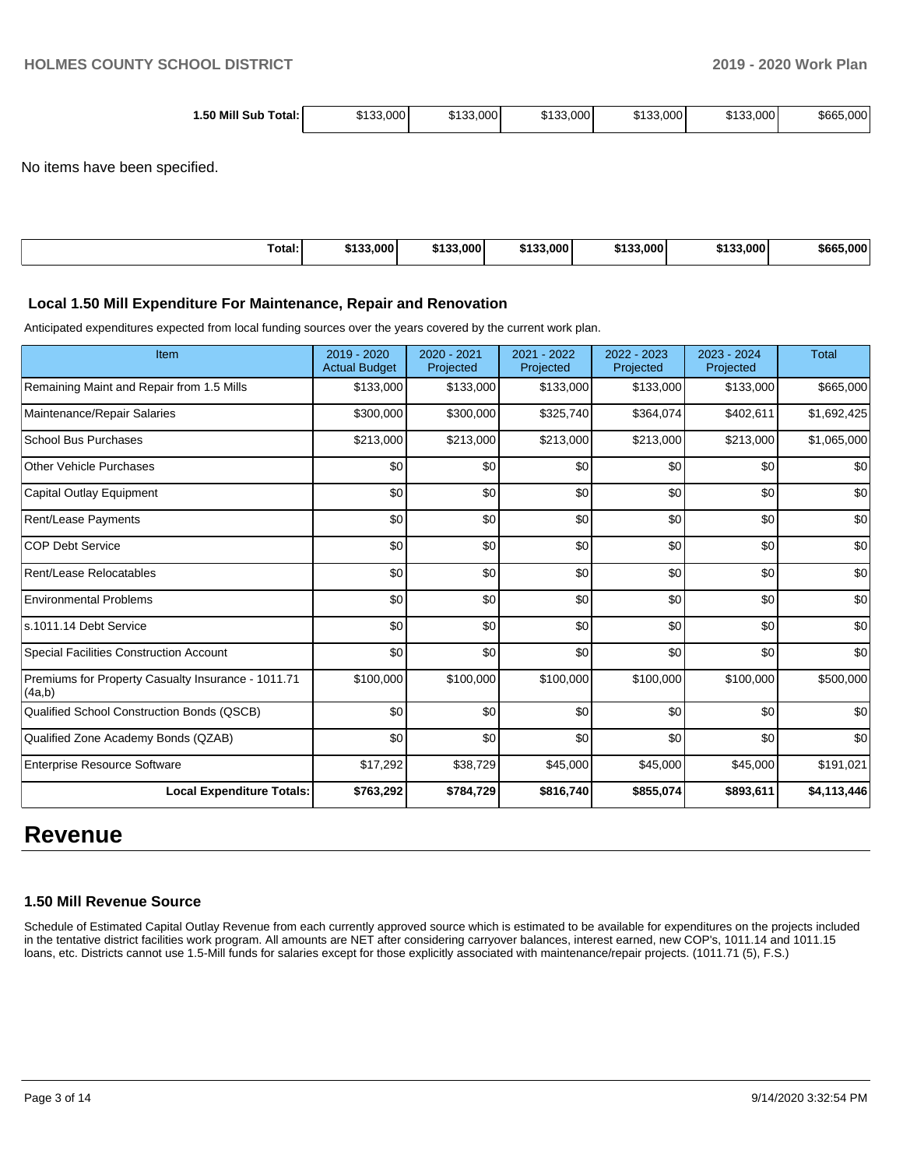| 1.50 Mill Sub<br>Total: | \$133.000 | \$133,000 | \$133,000 | \$133,000 | \$133,000 | \$665,000 |
|-------------------------|-----------|-----------|-----------|-----------|-----------|-----------|
|-------------------------|-----------|-----------|-----------|-----------|-----------|-----------|

No items have been specified.

| Total:<br>. | \$133,000 | \$133,000<br>6499 | \$133,000 | \$133,000 | \$133,000 | \$665,000 |
|-------------|-----------|-------------------|-----------|-----------|-----------|-----------|
|             |           |                   |           |           |           |           |

#### **Local 1.50 Mill Expenditure For Maintenance, Repair and Renovation**

Anticipated expenditures expected from local funding sources over the years covered by the current work plan.

| Item                                                         | 2019 - 2020<br><b>Actual Budget</b> | 2020 - 2021<br>Projected | 2021 - 2022<br>Projected | 2022 - 2023<br>Projected | $2023 - 2024$<br>Projected | <b>Total</b> |
|--------------------------------------------------------------|-------------------------------------|--------------------------|--------------------------|--------------------------|----------------------------|--------------|
| Remaining Maint and Repair from 1.5 Mills                    | \$133,000                           | \$133,000                | \$133,000                | \$133,000                | \$133,000                  | \$665,000    |
| Maintenance/Repair Salaries                                  | \$300,000                           | \$300,000                | \$325,740                | \$364,074                | \$402,611                  | \$1,692,425  |
| <b>School Bus Purchases</b>                                  | \$213,000                           | \$213,000                | \$213,000                | \$213,000                | \$213,000                  | \$1,065,000  |
| <b>Other Vehicle Purchases</b>                               | \$0                                 | \$0                      | \$0                      | \$0                      | \$0                        | \$0          |
| <b>Capital Outlay Equipment</b>                              | \$0                                 | \$0                      | \$0                      | \$0                      | \$0                        | \$0          |
| <b>Rent/Lease Payments</b>                                   | \$0                                 | \$0                      | \$0                      | \$0                      | \$0                        | \$0          |
| <b>COP Debt Service</b>                                      | \$0                                 | \$0                      | \$0                      | \$0                      | \$0                        | \$0          |
| Rent/Lease Relocatables                                      | \$0                                 | \$0                      | \$0                      | \$0                      | \$0                        | \$0          |
| <b>Environmental Problems</b>                                | \$0                                 | \$0                      | \$0                      | \$0                      | \$0                        | \$0          |
| s.1011.14 Debt Service                                       | \$0                                 | \$0                      | \$0                      | \$0                      | \$0                        | \$0          |
| <b>Special Facilities Construction Account</b>               | \$0                                 | \$0                      | \$0                      | \$0                      | \$0                        | \$0          |
| Premiums for Property Casualty Insurance - 1011.71<br>(4a,b) | \$100,000                           | \$100,000                | \$100,000                | \$100,000                | \$100,000                  | \$500,000    |
| Qualified School Construction Bonds (QSCB)                   | \$0                                 | \$0                      | \$0                      | \$0                      | \$0                        | \$0          |
| Qualified Zone Academy Bonds (QZAB)                          | \$0                                 | \$0                      | \$0                      | \$0                      | \$0                        | \$0          |
| <b>Enterprise Resource Software</b>                          | \$17,292                            | \$38,729                 | \$45,000                 | \$45,000                 | \$45,000                   | \$191,021    |
| <b>Local Expenditure Totals:</b>                             | \$763,292                           | \$784,729                | \$816,740                | \$855,074                | \$893,611                  | \$4,113,446  |

# **Revenue**

#### **1.50 Mill Revenue Source**

Schedule of Estimated Capital Outlay Revenue from each currently approved source which is estimated to be available for expenditures on the projects included in the tentative district facilities work program. All amounts are NET after considering carryover balances, interest earned, new COP's, 1011.14 and 1011.15 loans, etc. Districts cannot use 1.5-Mill funds for salaries except for those explicitly associated with maintenance/repair projects. (1011.71 (5), F.S.)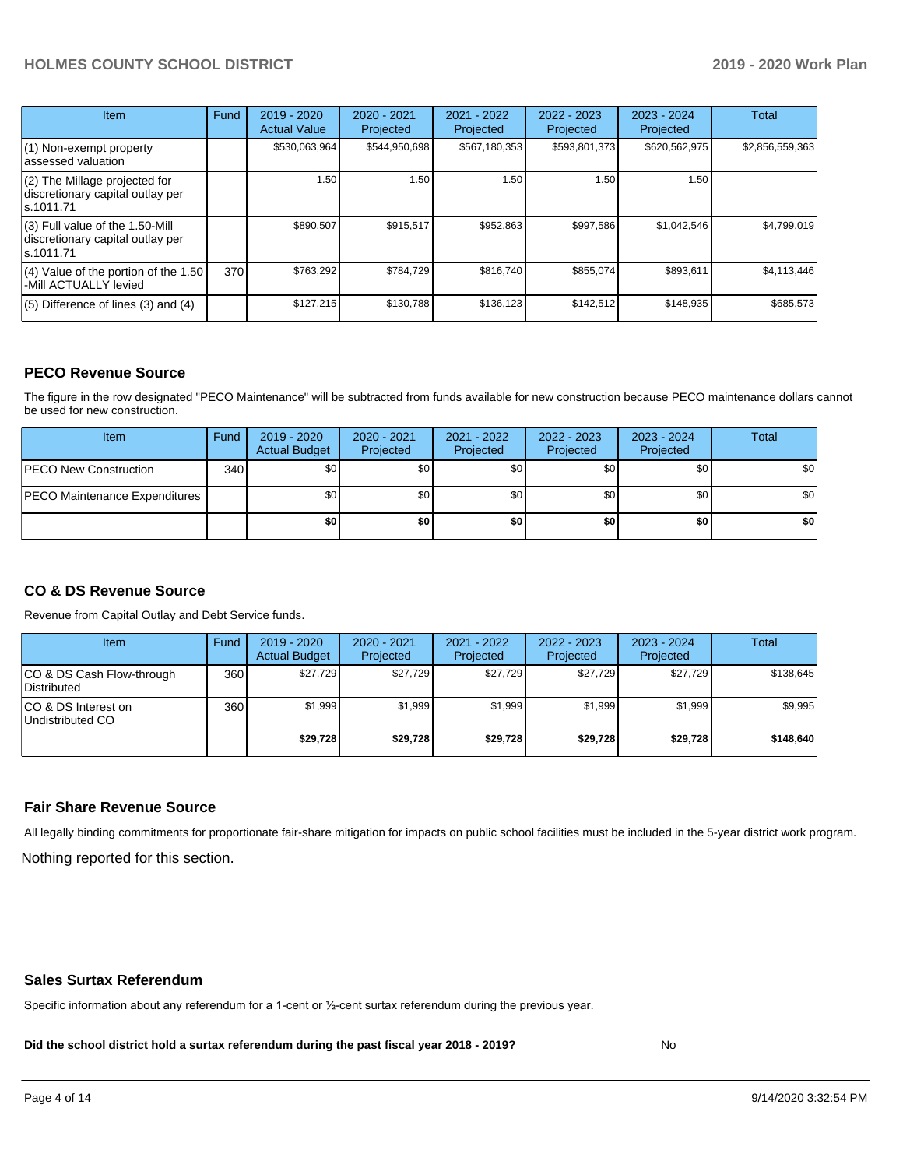# **HOLMES COUNTY SCHOOL DISTRICT 2019 - 2020 Work Plan**

| Item                                                                                | Fund | 2019 - 2020<br><b>Actual Value</b> | 2020 - 2021<br>Projected | 2021 - 2022<br>Projected | 2022 - 2023<br>Projected | $2023 - 2024$<br>Projected | <b>Total</b>    |
|-------------------------------------------------------------------------------------|------|------------------------------------|--------------------------|--------------------------|--------------------------|----------------------------|-----------------|
| $(1)$ Non-exempt property<br>lassessed valuation                                    |      | \$530,063,964                      | \$544.950.698            | \$567,180,353            | \$593,801,373            | \$620,562,975              | \$2,856,559,363 |
| (2) The Millage projected for<br>discretionary capital outlay per<br>ls.1011.71     |      | 1.50                               | 1.50                     | 1.50                     | 1.50                     | 1.50                       |                 |
| $(3)$ Full value of the 1.50-Mill<br>discretionary capital outlay per<br>ls.1011.71 |      | \$890,507                          | \$915,517                | \$952,863                | \$997,586                | \$1,042,546                | \$4,799,019     |
| (4) Value of the portion of the 1.50<br>-Mill ACTUALLY levied                       | 370  | \$763,292                          | \$784,729                | \$816,740                | \$855,074                | \$893,611                  | \$4,113,446     |
| $(5)$ Difference of lines $(3)$ and $(4)$                                           |      | \$127,215                          | \$130,788                | \$136.123                | \$142,512                | \$148,935                  | \$685,573       |

#### **PECO Revenue Source**

The figure in the row designated "PECO Maintenance" will be subtracted from funds available for new construction because PECO maintenance dollars cannot be used for new construction.

| Item                                 | Fund | 2019 - 2020<br><b>Actual Budget</b> | 2020 - 2021<br>Projected | 2021 - 2022<br>Projected | $2022 - 2023$<br>Projected | 2023 - 2024<br>Projected | Total            |
|--------------------------------------|------|-------------------------------------|--------------------------|--------------------------|----------------------------|--------------------------|------------------|
| <b>PECO New Construction</b>         | 340  | \$0                                 | \$0 <sub>1</sub>         | \$0                      | \$0 <sub>1</sub>           | \$0 <sub>1</sub>         | \$0 <sub>1</sub> |
| <b>PECO Maintenance Expenditures</b> |      | ا 30                                | \$٥Ι                     | \$0                      | \$0 <sub>1</sub>           | \$0                      | \$0              |
|                                      |      | \$0                                 | \$0                      | \$0                      | \$0                        | \$0                      | \$0              |

# **CO & DS Revenue Source**

Revenue from Capital Outlay and Debt Service funds.

| Item                                      | Fund  | $2019 - 2020$<br><b>Actual Budget</b> | 2020 - 2021<br>Projected | 2021 - 2022<br>Projected | $2022 - 2023$<br>Projected | 2023 - 2024<br>Projected | <b>Total</b> |
|-------------------------------------------|-------|---------------------------------------|--------------------------|--------------------------|----------------------------|--------------------------|--------------|
| ICO & DS Cash Flow-through<br>Distributed | 360 l | \$27.729                              | \$27.729                 | \$27.729                 | \$27.729                   | \$27,729                 | \$138.645    |
| ICO & DS Interest on<br>Undistributed CO  | 360   | \$1.999                               | \$1,999                  | \$1.999                  | \$1.999                    | \$1,999                  | \$9,995      |
|                                           |       | \$29,728                              | \$29,728                 | \$29.728                 | \$29.728                   | \$29,728                 | \$148,640    |

#### **Fair Share Revenue Source**

Nothing reported for this section. All legally binding commitments for proportionate fair-share mitigation for impacts on public school facilities must be included in the 5-year district work program.

#### **Sales Surtax Referendum**

Specific information about any referendum for a 1-cent or ½-cent surtax referendum during the previous year.

**Did the school district hold a surtax referendum during the past fiscal year 2018 - 2019?**

No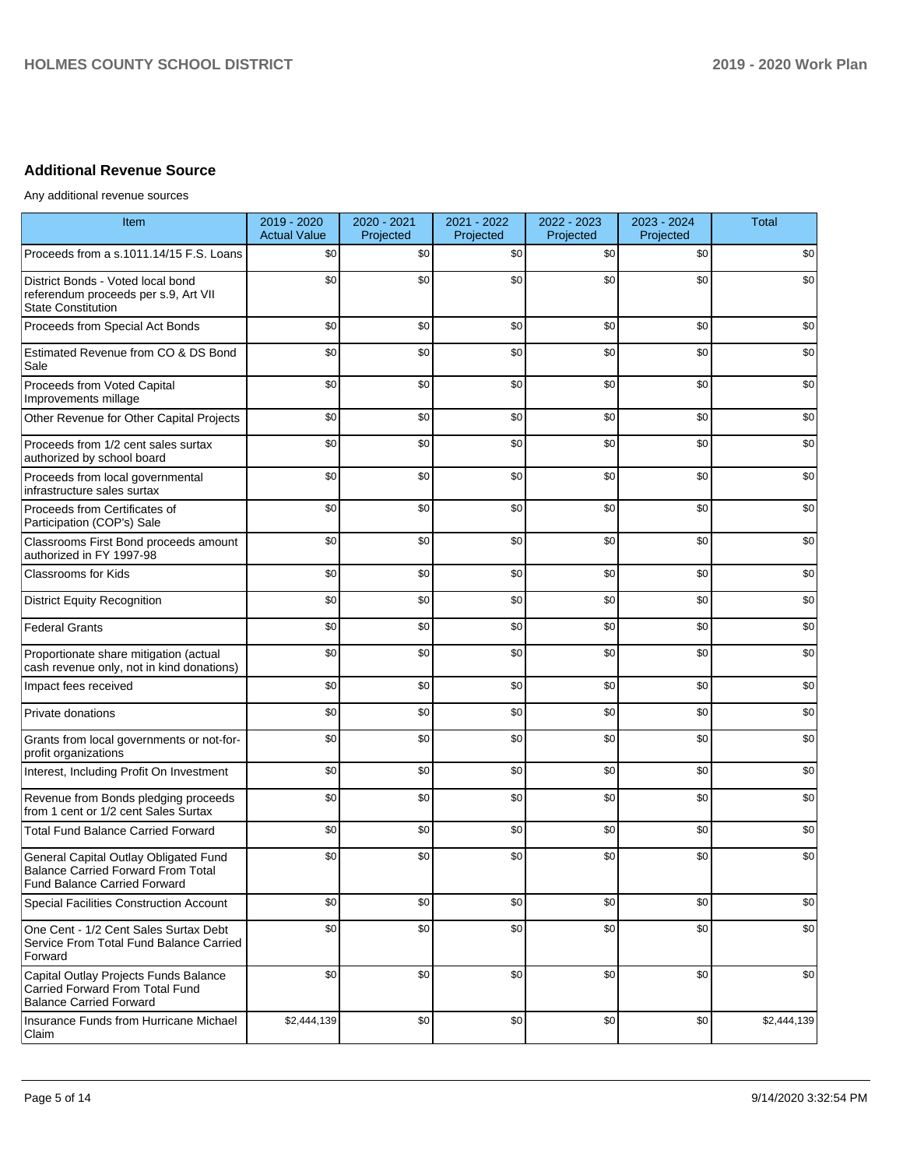# **Additional Revenue Source**

Any additional revenue sources

| Item                                                                                                               | 2019 - 2020<br><b>Actual Value</b> | 2020 - 2021<br>Projected | 2021 - 2022<br>Projected | 2022 - 2023<br>Projected | 2023 - 2024<br>Projected | <b>Total</b> |
|--------------------------------------------------------------------------------------------------------------------|------------------------------------|--------------------------|--------------------------|--------------------------|--------------------------|--------------|
| Proceeds from a s.1011.14/15 F.S. Loans                                                                            | \$0                                | \$0                      | \$0                      | \$0                      | \$0                      | \$0          |
| District Bonds - Voted local bond<br>referendum proceeds per s.9, Art VII<br><b>State Constitution</b>             | \$0                                | \$0                      | \$0                      | \$0                      | \$0                      | \$0          |
| Proceeds from Special Act Bonds                                                                                    | \$0                                | \$0                      | \$0                      | \$0                      | \$0                      | \$0          |
| Estimated Revenue from CO & DS Bond<br>Sale                                                                        | \$0                                | \$0                      | \$0                      | \$0                      | \$0                      | \$0          |
| Proceeds from Voted Capital<br>Improvements millage                                                                | \$0                                | \$0                      | \$0                      | \$0                      | \$0                      | \$0          |
| Other Revenue for Other Capital Projects                                                                           | \$0                                | \$0                      | \$0                      | \$0                      | \$0                      | \$0          |
| Proceeds from 1/2 cent sales surtax<br>authorized by school board                                                  | \$0                                | \$0                      | \$0                      | \$0                      | \$0                      | \$0          |
| Proceeds from local governmental<br>infrastructure sales surtax                                                    | \$0                                | \$0                      | \$0                      | \$0                      | \$0                      | \$0          |
| Proceeds from Certificates of<br>Participation (COP's) Sale                                                        | \$0                                | \$0                      | \$0                      | \$0                      | \$0                      | \$0          |
| Classrooms First Bond proceeds amount<br>authorized in FY 1997-98                                                  | \$0                                | \$0                      | \$0                      | \$0                      | \$0                      | \$0          |
| <b>Classrooms for Kids</b>                                                                                         | \$0                                | \$0                      | \$0                      | \$0                      | \$0                      | \$0          |
| <b>District Equity Recognition</b>                                                                                 | \$0                                | \$0                      | \$0                      | \$0                      | \$0                      | \$0          |
| <b>Federal Grants</b>                                                                                              | \$0                                | \$0                      | \$0                      | \$0                      | \$0                      | \$0          |
| Proportionate share mitigation (actual<br>cash revenue only, not in kind donations)                                | \$0                                | \$0                      | \$0                      | \$0                      | \$0                      | \$0          |
| Impact fees received                                                                                               | \$0                                | \$0                      | \$0                      | \$0                      | \$0                      | \$0          |
| Private donations                                                                                                  | \$0                                | \$0                      | \$0                      | \$0                      | \$0                      | \$0          |
| Grants from local governments or not-for-<br>profit organizations                                                  | \$0                                | \$0                      | \$0                      | \$0                      | \$0                      | \$0          |
| Interest, Including Profit On Investment                                                                           | \$0                                | \$0                      | \$0                      | \$0                      | \$0                      | \$0          |
| Revenue from Bonds pledging proceeds<br>from 1 cent or 1/2 cent Sales Surtax                                       | \$0                                | \$0                      | \$0                      | \$0                      | \$0                      | \$0          |
| <b>Total Fund Balance Carried Forward</b>                                                                          | \$0                                | \$0                      | \$0                      | \$0                      | \$0                      | \$0          |
| General Capital Outlay Obligated Fund<br><b>Balance Carried Forward From Total</b><br>Fund Balance Carried Forward | \$0                                | \$0                      | \$0                      | \$0                      | \$0                      | \$0          |
| <b>Special Facilities Construction Account</b>                                                                     | \$0                                | \$0                      | \$0                      | \$0                      | \$0                      | \$0          |
| One Cent - 1/2 Cent Sales Surtax Debt<br>Service From Total Fund Balance Carried<br>Forward                        | \$0                                | \$0                      | \$0                      | \$0                      | \$0                      | \$0          |
| Capital Outlay Projects Funds Balance<br>Carried Forward From Total Fund<br><b>Balance Carried Forward</b>         | \$0                                | \$0                      | \$0                      | \$0                      | \$0                      | \$0          |
| Insurance Funds from Hurricane Michael<br>Claim                                                                    | \$2,444,139                        | \$0                      | \$0                      | \$0                      | \$0                      | \$2,444,139  |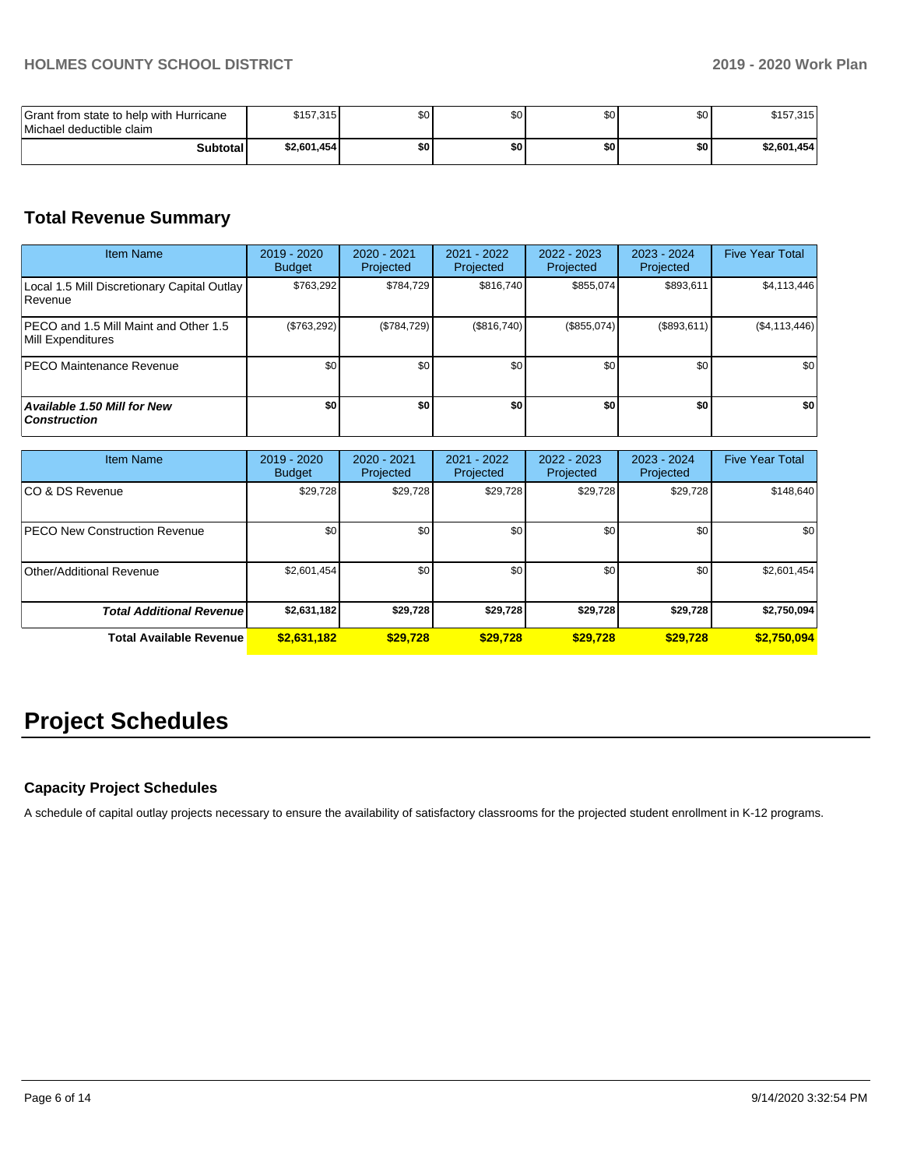| Grant from state to help with Hurricane<br>Michael deductible claim | \$157,315   | \$0 | \$C | \$0 | \$0 | \$157,315   |
|---------------------------------------------------------------------|-------------|-----|-----|-----|-----|-------------|
| <b>Subtotal</b>                                                     | \$2,601,454 | \$0 | \$0 | \$0 | \$0 | \$2,601,454 |

# **Total Revenue Summary**

| <b>Item Name</b>                                           | 2019 - 2020<br><b>Budget</b> | 2020 - 2021<br>Projected | $2021 - 2022$<br>Projected | 2022 - 2023<br>Projected | 2023 - 2024<br>Projected | <b>Five Year Total</b> |
|------------------------------------------------------------|------------------------------|--------------------------|----------------------------|--------------------------|--------------------------|------------------------|
| Local 1.5 Mill Discretionary Capital Outlay<br>Revenue     | \$763.292                    | \$784.729                | \$816.740                  | \$855.074                | \$893,611                | \$4,113,446            |
| PECO and 1.5 Mill Maint and Other 1.5<br>Mill Expenditures | (\$763,292)                  | (\$784,729)              | (\$816,740)                | (\$855,074)              | (\$893,611)              | (S4, 113, 446)         |
| IPECO Maintenance Revenue                                  | \$0                          | \$0 <sub>1</sub>         | \$0                        | \$0                      | \$0                      | \$0                    |
| <b>Available 1.50 Mill for New</b><br><b>Construction</b>  | \$0                          | \$O                      | \$0                        | \$0                      | \$0                      | \$0                    |

| <b>Item Name</b>                     | 2019 - 2020<br><b>Budget</b> | 2020 - 2021<br>Projected | 2021 - 2022<br>Projected | 2022 - 2023<br>Projected | 2023 - 2024<br>Projected | <b>Five Year Total</b> |
|--------------------------------------|------------------------------|--------------------------|--------------------------|--------------------------|--------------------------|------------------------|
| ICO & DS Revenue                     | \$29,728                     | \$29,728                 | \$29,728                 | \$29,728                 | \$29,728                 | \$148,640              |
| <b>PECO New Construction Revenue</b> | \$0                          | \$0                      | \$0                      | \$0                      | \$0                      | \$0                    |
| Other/Additional Revenue             | \$2,601,454                  | \$0                      | \$0                      | \$0                      | \$0                      | \$2,601,454            |
| <b>Total Additional Revenue</b>      | \$2,631,182                  | \$29,728                 | \$29,728                 | \$29,728                 | \$29,728                 | \$2,750,094            |
| <b>Total Available Revenue</b>       | \$2,631,182                  | \$29,728                 | \$29,728                 | \$29,728                 | \$29,728                 | \$2,750,094            |

# **Project Schedules**

# **Capacity Project Schedules**

A schedule of capital outlay projects necessary to ensure the availability of satisfactory classrooms for the projected student enrollment in K-12 programs.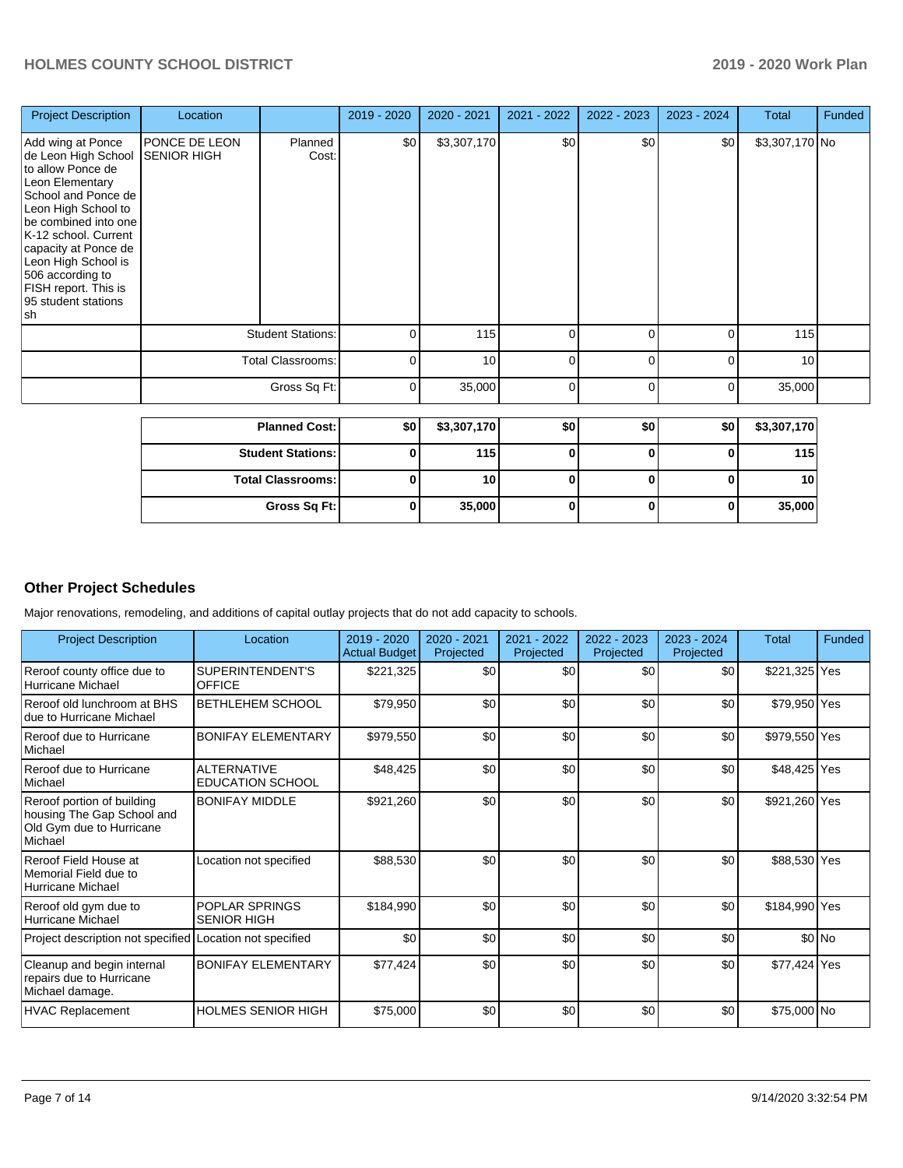| <b>Project Description</b>                                                                                                                                                                                                                                                                              | Location                                             |                  | 2019 - 2020 | 2020 - 2021 | 2021 - 2022 | 2022 - 2023 | 2023 - 2024 | Total          | Funded |
|---------------------------------------------------------------------------------------------------------------------------------------------------------------------------------------------------------------------------------------------------------------------------------------------------------|------------------------------------------------------|------------------|-------------|-------------|-------------|-------------|-------------|----------------|--------|
| Add wing at Ponce<br>de Leon High School<br>to allow Ponce de<br>Leon Elementary<br>School and Ponce de<br>Leon High School to<br>be combined into one<br>K-12 school. Current<br>capacity at Ponce de<br>Leon High School is<br>506 according to<br>FISH report. This is<br>95 student stations<br> sh | PONCE DE LEON<br><b>SENIOR HIGH</b>                  | Planned<br>Cost: | \$0         | \$3,307,170 | \$0         | \$0         | \$0         | \$3,307,170 No |        |
|                                                                                                                                                                                                                                                                                                         | <b>Student Stations:</b><br><b>Total Classrooms:</b> |                  | 0           | 115         | $\Omega$    |             | 0           | 115            |        |
|                                                                                                                                                                                                                                                                                                         |                                                      |                  | ∩           | 10          | $\Omega$    |             | $\Omega$    | 10             |        |
|                                                                                                                                                                                                                                                                                                         |                                                      | Gross Sq Ft:     | 0           | 35,000      | $\Omega$    | ∩           | $\Omega$    | 35,000         |        |
|                                                                                                                                                                                                                                                                                                         |                                                      |                  |             |             |             |             |             |                |        |

| <b>Planned Cost:</b>       | \$0 | \$3,307,170      | \$0 | \$0 | \$0 | \$3,307,170 |
|----------------------------|-----|------------------|-----|-----|-----|-------------|
| <b>Student Stations: I</b> |     | 115 <sub>1</sub> |     |     |     | 115         |
| <b>Total Classrooms:</b>   |     | 10 I             |     |     |     | 10          |
| Gross Sq Ft:               |     | 35,000           |     |     |     | 35,000      |

# **Other Project Schedules**

Major renovations, remodeling, and additions of capital outlay projects that do not add capacity to schools.

| <b>Project Description</b>                                                                      | Location                                      | 2019 - 2020<br><b>Actual Budget</b> | $2020 - 2021$<br>Projected | 2021 - 2022<br>Projected | 2022 - 2023<br>Projected | $2023 - 2024$<br>Projected | Total         | <b>Funded</b> |
|-------------------------------------------------------------------------------------------------|-----------------------------------------------|-------------------------------------|----------------------------|--------------------------|--------------------------|----------------------------|---------------|---------------|
| Reroof county office due to<br>Hurricane Michael                                                | SUPERINTENDENT'S<br><b>OFFICE</b>             | \$221,325                           | \$0                        | \$0                      | \$0                      | \$0                        | \$221,325 Yes |               |
| Reroof old lunchroom at BHS<br>due to Hurricane Michael                                         | <b>BETHLEHEM SCHOOL</b>                       | \$79,950                            | \$0                        | \$0                      | \$0                      | \$0                        | \$79,950 Yes  |               |
| Reroof due to Hurricane<br>Michael                                                              | <b>BONIFAY ELEMENTARY</b>                     | \$979,550                           | \$0                        | \$0                      | \$0                      | \$0                        | \$979,550 Yes |               |
| Reroof due to Hurricane<br>Michael                                                              | <b>ALTERNATIVE</b><br><b>EDUCATION SCHOOL</b> | \$48,425                            | \$0                        | \$0                      | \$0                      | \$0                        | \$48,425 Yes  |               |
| Reroof portion of building<br>housing The Gap School and<br>Old Gym due to Hurricane<br>Michael | <b>BONIFAY MIDDLE</b>                         | \$921,260                           | \$0                        | \$0                      | \$0                      | \$0                        | \$921,260 Yes |               |
| Reroof Field House at<br>Memorial Field due to<br>Hurricane Michael                             | Location not specified                        | \$88,530                            | \$0                        | \$0                      | \$0                      | \$0                        | \$88,530 Yes  |               |
| Reroof old gym due to<br>Hurricane Michael                                                      | POPLAR SPRINGS<br><b>SENIOR HIGH</b>          | \$184,990                           | \$0                        | \$0                      | \$0                      | \$0                        | \$184,990 Yes |               |
| Project description not specified                                                               | Location not specified                        | \$0                                 | \$0                        | \$0                      | \$0                      | \$0                        |               | \$0 No        |
| Cleanup and begin internal<br>repairs due to Hurricane<br>Michael damage.                       | <b>BONIFAY ELEMENTARY</b>                     | \$77,424                            | \$0                        | \$0                      | \$0                      | \$0                        | \$77,424 Yes  |               |
| <b>HVAC Replacement</b>                                                                         | <b>HOLMES SENIOR HIGH</b>                     | \$75,000                            | \$0                        | \$0                      | \$0                      | \$0                        | \$75,000 No   |               |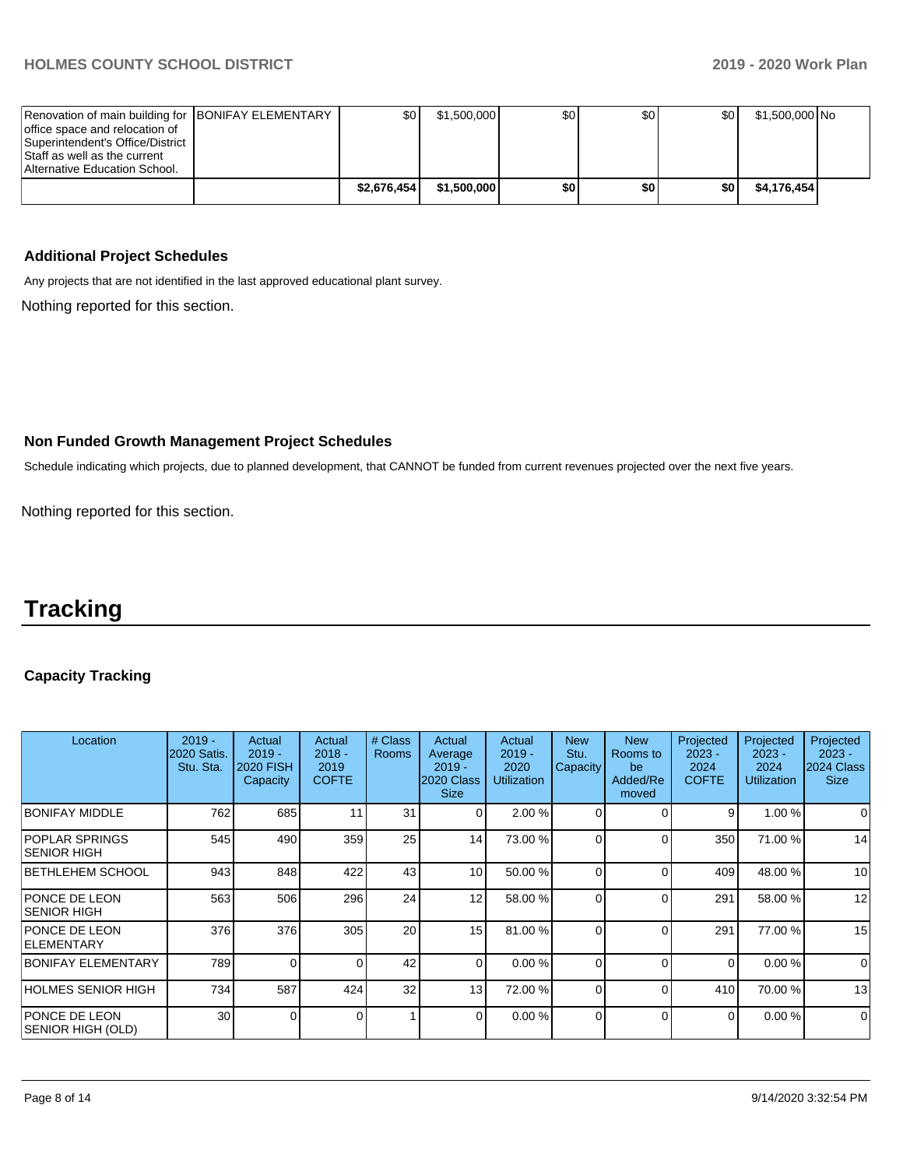| Renovation of main building for BONIFAY ELEMENTARY | \$0         | \$1.500.000 | \$0 | \$0 | \$0 | \$1,500,000 No |  |
|----------------------------------------------------|-------------|-------------|-----|-----|-----|----------------|--|
| office space and relocation of                     |             |             |     |     |     |                |  |
| Superintendent's Office/District                   |             |             |     |     |     |                |  |
| Staff as well as the current                       |             |             |     |     |     |                |  |
| Alternative Education School.                      |             |             |     |     |     |                |  |
|                                                    | \$2.676.454 | \$1,500,000 | \$0 | \$0 | \$0 | \$4,176,454    |  |
|                                                    |             |             |     |     |     |                |  |

### **Additional Project Schedules**

Any projects that are not identified in the last approved educational plant survey.

Nothing reported for this section.

# **Non Funded Growth Management Project Schedules**

Schedule indicating which projects, due to planned development, that CANNOT be funded from current revenues projected over the next five years.

Nothing reported for this section.

# **Tracking**

# **Capacity Tracking**

| Location                                    | $2019 -$<br>2020 Satis.<br>Stu. Sta. | Actual<br>$2019 -$<br><b>2020 FISH</b><br>Capacity | Actual<br>$2018 -$<br>2019<br><b>COFTE</b> | # Class<br><b>Rooms</b> | Actual<br>Average<br>$2019 -$<br>2020 Class<br><b>Size</b> | Actual<br>$2019 -$<br>2020<br><b>Utilization</b> | <b>New</b><br>Stu.<br>Capacity | <b>New</b><br>Rooms to<br>be<br>Added/Re<br>moved | Projected<br>$2023 -$<br>2024<br><b>COFTE</b> | Projected<br>$2023 -$<br>2024<br><b>Utilization</b> | Projected<br>$2023 -$<br>2024 Class<br><b>Size</b> |
|---------------------------------------------|--------------------------------------|----------------------------------------------------|--------------------------------------------|-------------------------|------------------------------------------------------------|--------------------------------------------------|--------------------------------|---------------------------------------------------|-----------------------------------------------|-----------------------------------------------------|----------------------------------------------------|
| <b>BONIFAY MIDDLE</b>                       | 762                                  | 685                                                | 11                                         | 31                      | $\Omega$                                                   | 2.00 %                                           | $\Omega$                       | $\Omega$                                          | 9                                             | 1.00 %                                              | $\Omega$                                           |
| <b>POPLAR SPRINGS</b><br><b>SENIOR HIGH</b> | 545                                  | 490                                                | 359                                        | 25                      | 14                                                         | 73.00 %                                          | $\Omega$                       | 0                                                 | 350                                           | 71.00 %                                             | 14                                                 |
| BETHLEHEM SCHOOL                            | 943                                  | 848                                                | 422                                        | 43                      | 10                                                         | 50.00 %                                          | $\Omega$                       | $\Omega$                                          | 409                                           | 48.00 %                                             | 10                                                 |
| PONCE DE LEON<br><b>SENIOR HIGH</b>         | 563                                  | 506                                                | 296                                        | 24                      | 12                                                         | 58.00 %                                          | $\Omega$                       | 0                                                 | 291                                           | 58.00 %                                             | 12                                                 |
| <b>PONCE DE LEON</b><br><b>IELEMENTARY</b>  | 376                                  | 376                                                | 305                                        | 20                      | 15                                                         | 81.00 %                                          | $\Omega$                       | 0                                                 | 291                                           | 77.00 %                                             | 15                                                 |
| <b>BONIFAY ELEMENTARY</b>                   | 789                                  |                                                    | ∩                                          | 42                      | $\Omega$                                                   | 0.00 %                                           | $\Omega$                       | $\Omega$                                          | $\Omega$                                      | 0.00%                                               | $\Omega$                                           |
| <b>HOLMES SENIOR HIGH</b>                   | 734                                  | 587                                                | 424                                        | 32                      | 13                                                         | 72.00 %                                          | $\Omega$                       | $\Omega$                                          | 410                                           | 70.00 %                                             | 13                                                 |
| <b>PONCE DE LEON</b><br>SENIOR HIGH (OLD)   | 30 <sub>l</sub>                      | $\Omega$                                           | $\Omega$                                   |                         | $\overline{0}$                                             | 0.00 %                                           | $\overline{0}$                 | $\Omega$                                          | $\Omega$                                      | 0.00 %                                              | $\Omega$                                           |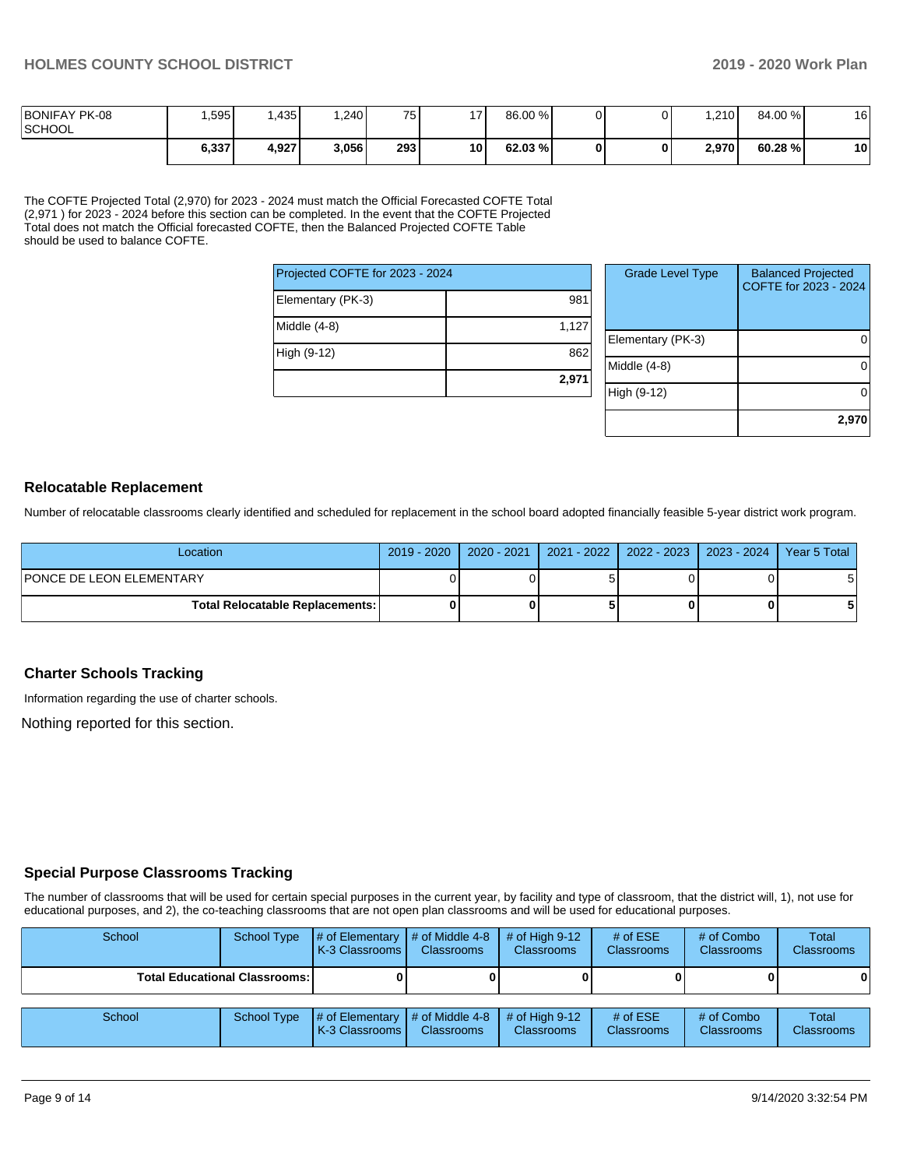| <b>BONIFAY PK-08</b><br><b>SCHOOL</b> | .595  | .435  | .240  | 751 | 17 <sup>1</sup> | 86.00 % |  | .210  | 84.00 % | 16 |
|---------------------------------------|-------|-------|-------|-----|-----------------|---------|--|-------|---------|----|
|                                       | 6,337 | 4,927 | 3,056 | 293 | 10 I            | 62.03 % |  | 2.970 | 60.28 % | 10 |

The COFTE Projected Total (2,970) for 2023 - 2024 must match the Official Forecasted COFTE Total (2,971 ) for 2023 - 2024 before this section can be completed. In the event that the COFTE Projected Total does not match the Official forecasted COFTE, then the Balanced Projected COFTE Table should be used to balance COFTE.

| Projected COFTE for 2023 - 2024 |       |  |  |  |  |  |
|---------------------------------|-------|--|--|--|--|--|
| Elementary (PK-3)               | 981   |  |  |  |  |  |
| Middle (4-8)                    | 1,127 |  |  |  |  |  |
| High (9-12)                     | 862   |  |  |  |  |  |
|                                 | 2,971 |  |  |  |  |  |

| <b>Grade Level Type</b> | <b>Balanced Projected</b><br>COFTE for 2023 - 2024 |
|-------------------------|----------------------------------------------------|
| Elementary (PK-3)       |                                                    |
| Middle (4-8)            |                                                    |
| High (9-12)             |                                                    |
|                         | 2,970                                              |

#### **Relocatable Replacement**

Number of relocatable classrooms clearly identified and scheduled for replacement in the school board adopted financially feasible 5-year district work program.

| Location                               |  | 2019 - 2020   2020 - 2021   2021 - 2022   2022 - 2023   2023 - 2024 | Year 5 Total |
|----------------------------------------|--|---------------------------------------------------------------------|--------------|
| <b>PONCE DE LEON ELEMENTARY</b>        |  |                                                                     | 5            |
| <b>Total Relocatable Replacements:</b> |  |                                                                     |              |

#### **Charter Schools Tracking**

Information regarding the use of charter schools.

Nothing reported for this section.

#### **Special Purpose Classrooms Tracking**

The number of classrooms that will be used for certain special purposes in the current year, by facility and type of classroom, that the district will, 1), not use for educational purposes, and 2), the co-teaching classrooms that are not open plan classrooms and will be used for educational purposes.

| School | School Type                          | # of Elementary<br>K-3 Classrooms | $\#$ of Middle 4-8<br><b>Classrooms</b>          | # of High $9-12$<br><b>Classrooms</b> | # of $ESE$<br>Classrooms | # of Combo<br><b>Classrooms</b> | <b>Total</b><br><b>Classrooms</b> |
|--------|--------------------------------------|-----------------------------------|--------------------------------------------------|---------------------------------------|--------------------------|---------------------------------|-----------------------------------|
|        | <b>Total Educational Classrooms:</b> |                                   |                                                  |                                       |                          |                                 | 0                                 |
| School | School Type                          | # of Elementary<br>K-3 Classrooms | $\parallel$ # of Middle 4-8<br><b>Classrooms</b> | # of High $9-12$<br><b>Classrooms</b> | # of ESE<br>Classrooms   | # of Combo<br><b>Classrooms</b> | Total<br><b>Classrooms</b>        |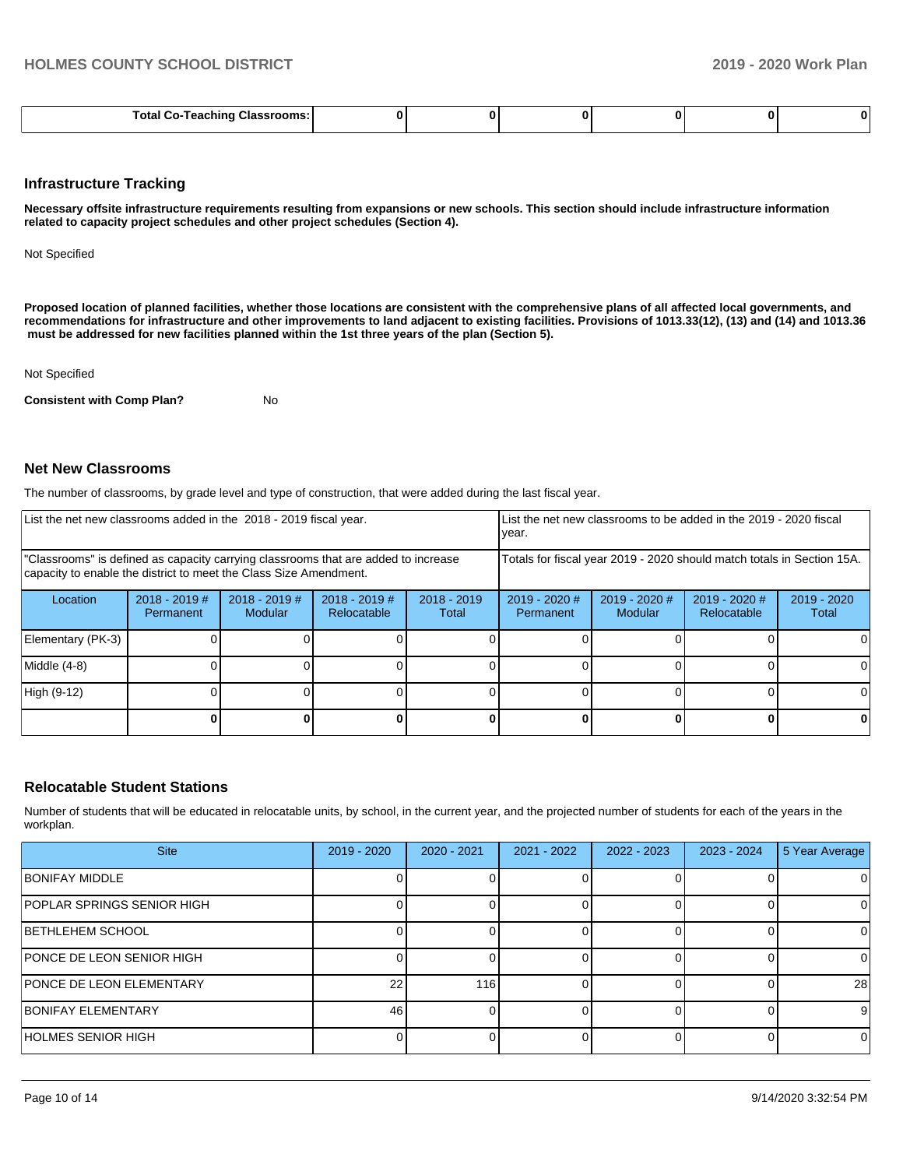#### **Infrastructure Tracking**

**Necessary offsite infrastructure requirements resulting from expansions or new schools. This section should include infrastructure information related to capacity project schedules and other project schedules (Section 4).** 

Not Specified

**Proposed location of planned facilities, whether those locations are consistent with the comprehensive plans of all affected local governments, and recommendations for infrastructure and other improvements to land adjacent to existing facilities. Provisions of 1013.33(12), (13) and (14) and 1013.36 must be addressed for new facilities planned within the 1st three years of the plan (Section 5).** 

Not Specified

**Consistent with Comp Plan?** No

#### **Net New Classrooms**

The number of classrooms, by grade level and type of construction, that were added during the last fiscal year.

| List the net new classrooms added in the 2018 - 2019 fiscal year.                                                                                       |                              |                                   |                                                          |  | List the net new classrooms to be added in the 2019 - 2020 fiscal<br>year. |                                   |                                |                        |
|---------------------------------------------------------------------------------------------------------------------------------------------------------|------------------------------|-----------------------------------|----------------------------------------------------------|--|----------------------------------------------------------------------------|-----------------------------------|--------------------------------|------------------------|
| "Classrooms" is defined as capacity carrying classrooms that are added to increase<br>capacity to enable the district to meet the Class Size Amendment. |                              |                                   |                                                          |  | Totals for fiscal year 2019 - 2020 should match totals in Section 15A.     |                                   |                                |                        |
| Location                                                                                                                                                | $2018 - 2019$ #<br>Permanent | $2018 - 2019$ #<br><b>Modular</b> | $2018 - 2019$ #<br>$2018 - 2019$<br>Relocatable<br>Total |  | $2019 - 2020$ #<br>Permanent                                               | $2019 - 2020$ #<br><b>Modular</b> | $2019 - 2020$ #<br>Relocatable | $2019 - 2020$<br>Total |
| Elementary (PK-3)                                                                                                                                       |                              |                                   |                                                          |  |                                                                            |                                   |                                |                        |
| Middle (4-8)                                                                                                                                            |                              |                                   |                                                          |  |                                                                            |                                   |                                |                        |
| High (9-12)                                                                                                                                             |                              |                                   |                                                          |  |                                                                            |                                   |                                | ΩI                     |
|                                                                                                                                                         |                              |                                   |                                                          |  |                                                                            |                                   |                                | 0                      |

#### **Relocatable Student Stations**

Number of students that will be educated in relocatable units, by school, in the current year, and the projected number of students for each of the years in the workplan.

| <b>Site</b>                     | 2019 - 2020 | 2020 - 2021 | 2021 - 2022 | 2022 - 2023 | $2023 - 2024$ | 5 Year Average |
|---------------------------------|-------------|-------------|-------------|-------------|---------------|----------------|
| <b>BONIFAY MIDDLE</b>           |             |             |             |             |               | 0              |
| POPLAR SPRINGS SENIOR HIGH      |             |             |             |             |               | 0              |
| BETHLEHEM SCHOOL                |             |             |             |             |               | 0              |
| PONCE DE LEON SENIOR HIGH       |             |             |             |             |               | 0              |
| <b>PONCE DE LEON ELEMENTARY</b> | 22          | 116         |             |             |               | 28             |
| <b>BONIFAY ELEMENTARY</b>       | 46          |             |             |             |               | 9              |
| HOLMES SENIOR HIGH              |             |             |             |             |               | 0              |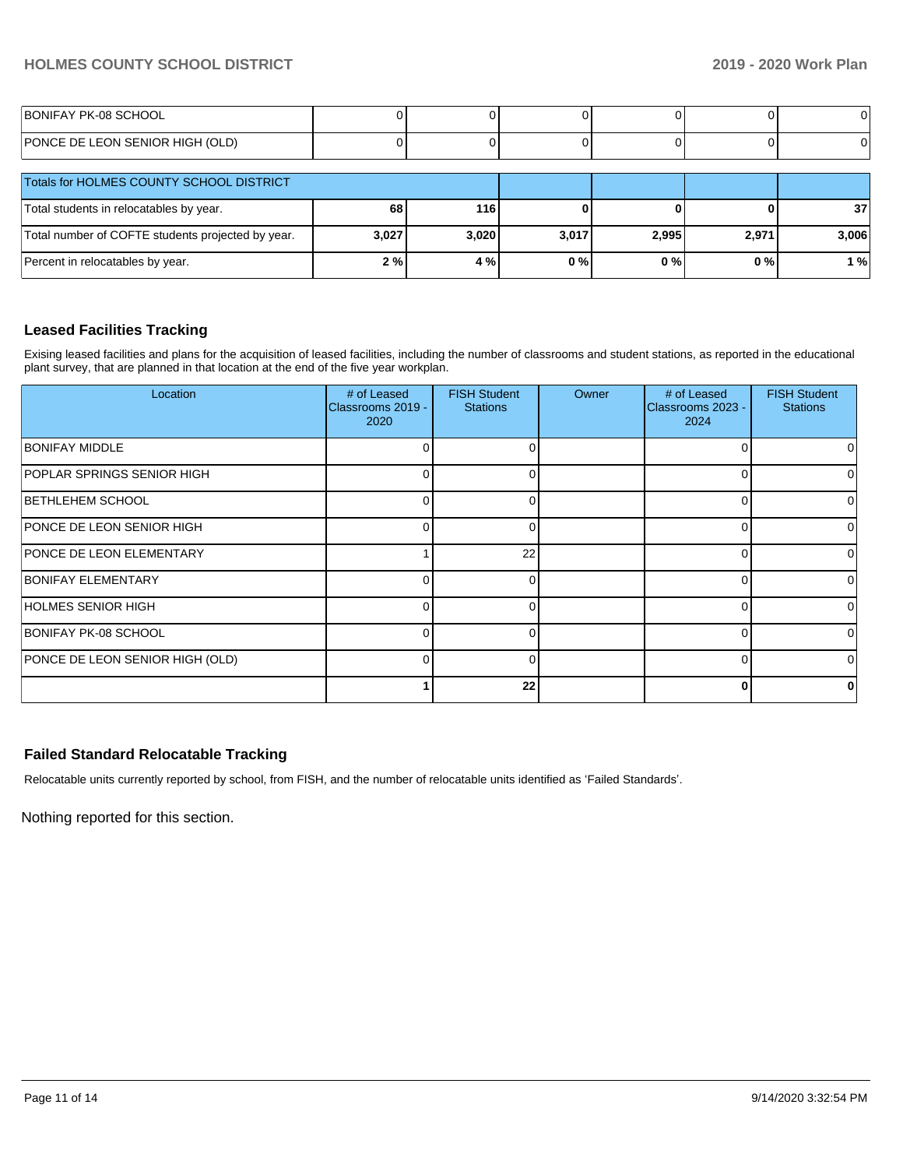# **HOLMES COUNTY SCHOOL DISTRICT 2019 - 2020 Work Plan**

| BONIFAY PK-08 SCHOOL            |  |  |  |
|---------------------------------|--|--|--|
| PONCE DE LEON SENIOR HIGH (OLD) |  |  |  |

| Totals for HOLMES COUNTY SCHOOL DISTRICT          |       |       |       |       |       |                 |
|---------------------------------------------------|-------|-------|-------|-------|-------|-----------------|
| Total students in relocatables by year.           | 68    | 116   |       |       |       | 37 <sub>l</sub> |
| Total number of COFTE students projected by year. | 3,027 | 3,020 | 3,017 | 2,995 | 2,971 | 3,006           |
| Percent in relocatables by year.                  | 2%    | 4 %   | 0%    | 0%    | 0%    | 1 % l           |

## **Leased Facilities Tracking**

Exising leased facilities and plans for the acquisition of leased facilities, including the number of classrooms and student stations, as reported in the educational plant survey, that are planned in that location at the end of the five year workplan.

| Location                        | # of Leased<br>Classrooms 2019 -<br>2020 | <b>FISH Student</b><br><b>Stations</b> | Owner | # of Leased<br>Classrooms 2023 -<br>2024 | <b>FISH Student</b><br><b>Stations</b> |
|---------------------------------|------------------------------------------|----------------------------------------|-------|------------------------------------------|----------------------------------------|
| <b>BONIFAY MIDDLE</b>           |                                          | $\Omega$                               |       | ∩                                        |                                        |
| POPLAR SPRINGS SENIOR HIGH      |                                          | $\Omega$                               |       | C                                        |                                        |
| <b>BETHLEHEM SCHOOL</b>         |                                          | $\Omega$                               |       | C                                        |                                        |
| PONCE DE LEON SENIOR HIGH       |                                          | $\Omega$                               |       | $\Omega$                                 |                                        |
| <b>PONCE DE LEON ELEMENTARY</b> |                                          | 22                                     |       | O                                        |                                        |
| <b>BONIFAY ELEMENTARY</b>       | 0                                        | $\Omega$                               |       | $\Omega$                                 |                                        |
| HOLMES SENIOR HIGH              | 0                                        | $\Omega$                               |       | ∩                                        |                                        |
| BONIFAY PK-08 SCHOOL            | 0                                        | $\Omega$                               |       | $\Omega$                                 |                                        |
| PONCE DE LEON SENIOR HIGH (OLD) | 0                                        | $\Omega$                               |       | $\Omega$                                 | 0                                      |
|                                 |                                          | 22                                     |       | 0                                        | 0                                      |

# **Failed Standard Relocatable Tracking**

Relocatable units currently reported by school, from FISH, and the number of relocatable units identified as 'Failed Standards'.

Nothing reported for this section.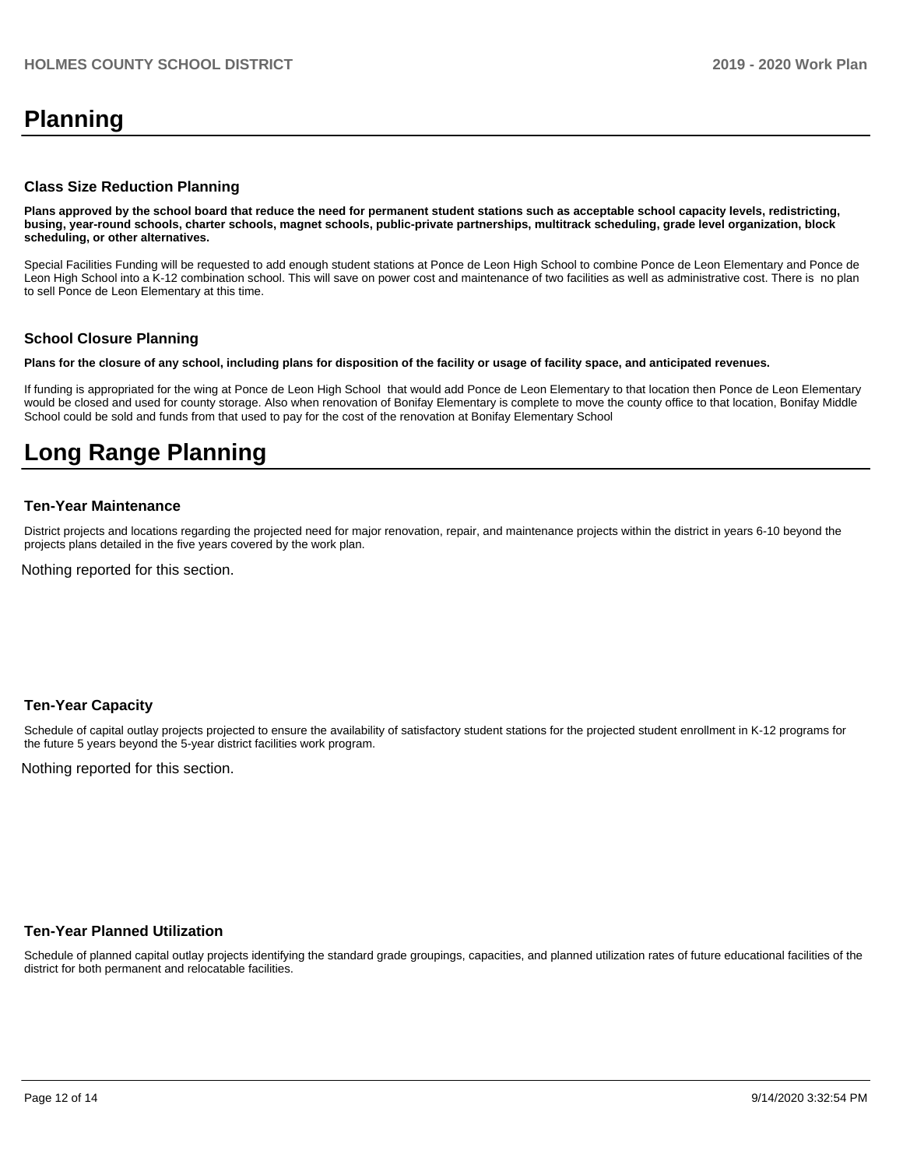# **Planning**

#### **Class Size Reduction Planning**

**Plans approved by the school board that reduce the need for permanent student stations such as acceptable school capacity levels, redistricting, busing, year-round schools, charter schools, magnet schools, public-private partnerships, multitrack scheduling, grade level organization, block scheduling, or other alternatives.**

Special Facilities Funding will be requested to add enough student stations at Ponce de Leon High School to combine Ponce de Leon Elementary and Ponce de Leon High School into a K-12 combination school. This will save on power cost and maintenance of two facilities as well as administrative cost. There is no plan to sell Ponce de Leon Elementary at this time.

#### **School Closure Planning**

**Plans for the closure of any school, including plans for disposition of the facility or usage of facility space, and anticipated revenues.** 

If funding is appropriated for the wing at Ponce de Leon High School that would add Ponce de Leon Elementary to that location then Ponce de Leon Elementary would be closed and used for county storage. Also when renovation of Bonifay Elementary is complete to move the county office to that location, Bonifay Middle School could be sold and funds from that used to pay for the cost of the renovation at Bonifay Elementary School

# **Long Range Planning**

#### **Ten-Year Maintenance**

District projects and locations regarding the projected need for major renovation, repair, and maintenance projects within the district in years 6-10 beyond the projects plans detailed in the five years covered by the work plan.

Nothing reported for this section.

#### **Ten-Year Capacity**

Schedule of capital outlay projects projected to ensure the availability of satisfactory student stations for the projected student enrollment in K-12 programs for the future 5 years beyond the 5-year district facilities work program.

Nothing reported for this section.

#### **Ten-Year Planned Utilization**

Schedule of planned capital outlay projects identifying the standard grade groupings, capacities, and planned utilization rates of future educational facilities of the district for both permanent and relocatable facilities.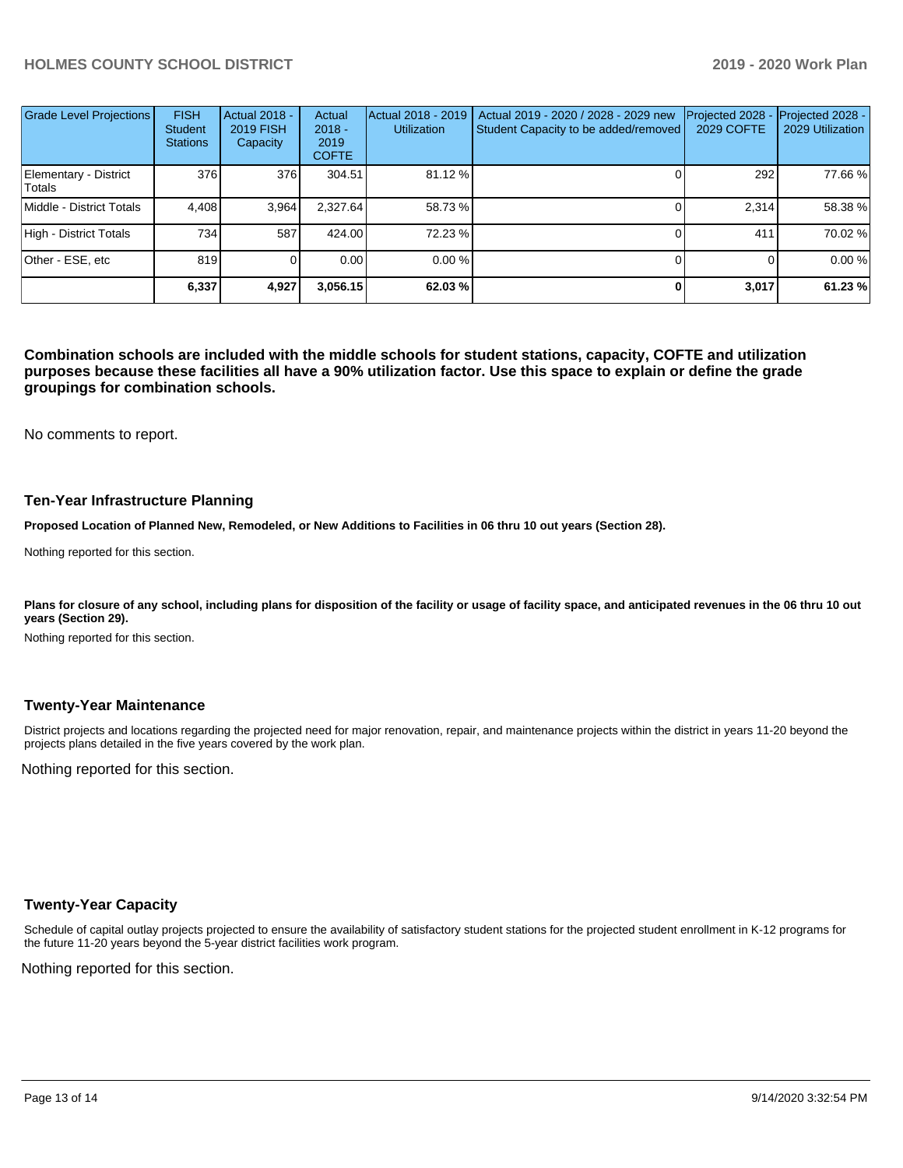## **HOLMES COUNTY SCHOOL DISTRICT 2019 - 2020 Work Plan**

| Grade Level Projections         | <b>FISH</b><br><b>Student</b><br><b>Stations</b> | Actual 2018 -<br><b>2019 FISH</b><br>Capacity | Actual<br>$2018 -$<br>2019<br><b>COFTE</b> | Actual 2018 - 2019<br><b>Utilization</b> | Actual 2019 - 2020 / 2028 - 2029 new<br>Student Capacity to be added/removed | Projected 2028<br>2029 COFTE | Projected 2028 -<br>2029 Utilization |
|---------------------------------|--------------------------------------------------|-----------------------------------------------|--------------------------------------------|------------------------------------------|------------------------------------------------------------------------------|------------------------------|--------------------------------------|
| Elementary - District<br>Totals | 376                                              | 376                                           | 304.51                                     | 81.12 %                                  |                                                                              | 292                          | 77.66 %                              |
| Middle - District Totals        | 4.408                                            | 3,964                                         | 2.327.64                                   | 58.73 %                                  |                                                                              | 2.314                        | 58.38 %                              |
| High - District Totals          | 7341                                             | 587                                           | 424.00                                     | 72.23 %                                  |                                                                              | 411                          | 70.02 %                              |
| Other - ESE, etc                | 819                                              |                                               | 0.00                                       | 0.00%                                    |                                                                              |                              | 0.00 %                               |
|                                 | 6,337                                            | 4,927                                         | 3,056.15                                   | 62.03 %                                  |                                                                              | 3,017                        | 61.23%                               |

**Combination schools are included with the middle schools for student stations, capacity, COFTE and utilization purposes because these facilities all have a 90% utilization factor. Use this space to explain or define the grade groupings for combination schools.** 

No comments to report.

#### **Ten-Year Infrastructure Planning**

**Proposed Location of Planned New, Remodeled, or New Additions to Facilities in 06 thru 10 out years (Section 28).**

Nothing reported for this section.

Plans for closure of any school, including plans for disposition of the facility or usage of facility space, and anticipated revenues in the 06 thru 10 out **years (Section 29).**

Nothing reported for this section.

#### **Twenty-Year Maintenance**

District projects and locations regarding the projected need for major renovation, repair, and maintenance projects within the district in years 11-20 beyond the projects plans detailed in the five years covered by the work plan.

Nothing reported for this section.

#### **Twenty-Year Capacity**

Schedule of capital outlay projects projected to ensure the availability of satisfactory student stations for the projected student enrollment in K-12 programs for the future 11-20 years beyond the 5-year district facilities work program.

Nothing reported for this section.